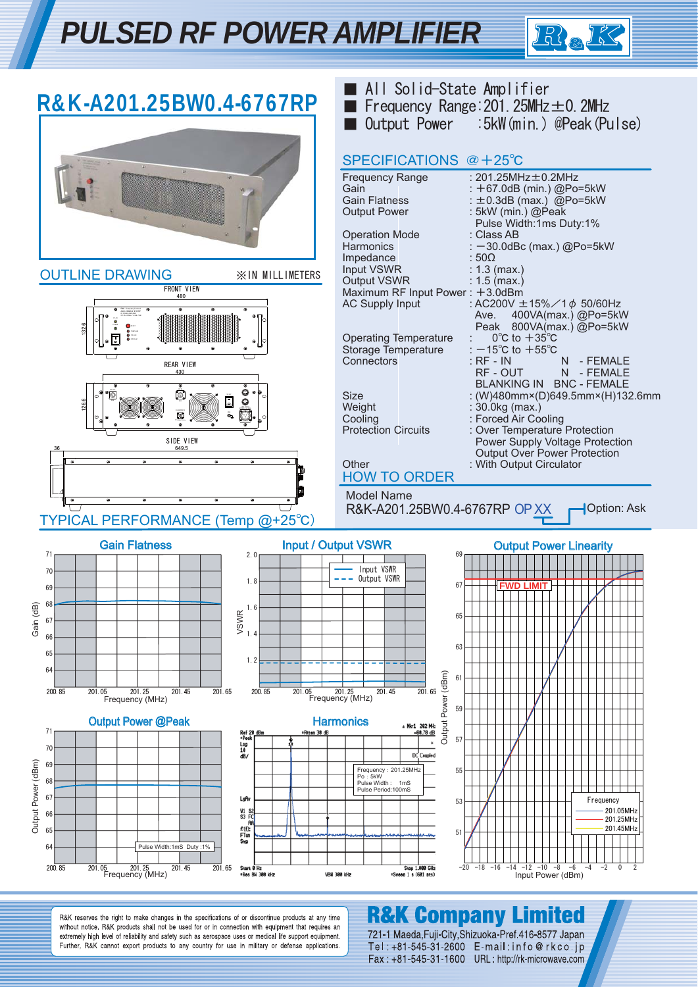## *PULSED RF POWER AMPLIFIER*



| R&K-A201.25BW0.4-6767RP                                                                                                                                                                                                                                                                                                                            | ■ All Solid-State Amplifier<br>Frequency Range: $201.25$ MHz $\pm$ 0. 2MHz<br>:5kW(min.) @Peak(Pulse)<br>Output Power                                                                                                                                                                                                                                                                                                                                                                                                                                          |
|----------------------------------------------------------------------------------------------------------------------------------------------------------------------------------------------------------------------------------------------------------------------------------------------------------------------------------------------------|----------------------------------------------------------------------------------------------------------------------------------------------------------------------------------------------------------------------------------------------------------------------------------------------------------------------------------------------------------------------------------------------------------------------------------------------------------------------------------------------------------------------------------------------------------------|
|                                                                                                                                                                                                                                                                                                                                                    | SPECIFICATIONS @ +25°C<br><b>Frequency Range</b><br>: 201.25MHz $\pm$ 0.2MHz<br>Gain<br>: +67.0dB (min.) @Po=5kW<br><b>Gain Flatness</b><br>: $\pm$ 0.3dB (max.) @Po=5kW<br>: 5kW (min.) @Peak<br><b>Output Power</b><br>Pulse Width:1ms Duty:1%<br><b>Operation Mode</b><br>: Class AB<br>: -30.0dBc (max.) @Po=5kW<br>Harmonics                                                                                                                                                                                                                              |
| <b>OUTLINE DRAWING</b><br><b>※IN MILLIMETERS</b><br>FRONT VIEW<br>132.6<br>REAR VIEW                                                                                                                                                                                                                                                               | Impedance<br>:50 <omega<br>: <math>1.3</math> (max.)<br/>Input VSWR<br/>Output VSWR<br/>: <math>1.5</math> (max.)<br/>Maximum RF Input Power: +3.0dBm<br/><b>AC Supply Input</b><br/>: AC200V ±15%/1<math>\phi</math> 50/60Hz<br/>400VA(max.) @Po=5kW<br/>Ave.<br/>Peak 800VA(max.) @Po=5kW<br/><b>Operating Temperature</b><br/><math>0^{\circ}</math>C to <math>+35^{\circ}</math>C<br/>Storage Temperature<br/>: <math>-15^{\circ}</math>C to <math>+55^{\circ}</math>C<br/>Connectors<br/><math>:</math> RF - IN<br/>N<sub>1</sub><br/>- FEMALE</omega<br> |
| 430<br>0<br>$\circ$<br>126.6<br>۰<br>$\bullet$<br>SIDE VIEW<br>649.5                                                                                                                                                                                                                                                                               | RF - OUT<br>N - FEMALE<br>BLANKING IN BNC - FEMALE<br>: (W)480mm×(D)649.5mm×(H)132.6mm<br><b>Size</b><br>Weight<br>: 30.0kg (max.)<br>: Forced Air Cooling<br>Cooling<br><b>Protection Circuits</b><br>: Over Temperature Protection<br>Power Supply Voltage Protection<br>Output Over Power Protection<br>: With Output Circulator<br>Other<br><b>HOW TO ORDER</b><br><b>Model Name</b><br>Option: Ask                                                                                                                                                        |
| TYPICAL PERFORMANCE (Temp @+25°C)<br><b>Gain Flatness</b><br>71<br>2.0                                                                                                                                                                                                                                                                             | R&K-A201.25BW0.4-6767RP OP XX<br><b>Input / Output VSWR</b><br><b>Output Power Linearity</b><br>69                                                                                                                                                                                                                                                                                                                                                                                                                                                             |
| 70<br>1.8<br>69<br>Gain (dB)<br>68<br>1.6<br><b>VSWR</b><br>67<br>1.4<br>66<br>65<br>1.2<br>64<br>201.25<br>201.45<br>201.65<br>200.85<br>201.05 201.25<br>Frequency (MHz)<br>200.85<br>201.05<br>Frequency (MHz)                                                                                                                                  | Input VSWR<br>Output VSWR<br>67<br><b>FWD LIMIT</b><br>65<br>63<br>Output Power (dBm)<br>61<br>201.65<br>201.45                                                                                                                                                                                                                                                                                                                                                                                                                                                |
| <b>Output Power @Peak</b><br>71<br>*Atten 30 dB<br>Ref 20 dBm<br>*Peak<br>Log<br>10<br>70<br>dB/<br>Output Power (dBm)<br>69<br>68<br>67<br>LgAv<br>V1<br>s<br>66<br>\$3 FC<br>R<br>£(f):<br>65<br>FTun<br>Swp<br>64<br>Pulse Width:1mS Duty:1%<br>201.45<br>200.85<br>201.05 201.25<br>Frequency (MHz)<br>201.65<br>Start @ Hz<br>.Res BH 388 kHz | 59<br><b>Harmonics</b><br>a Mkr1 202 MHz<br>$-60.78$ dB<br>57<br>DC Coupled<br>Frequency: 201.25MHz<br>55<br>Po: 5kW<br>Pulse Width: 1mS<br>Pulse Period:100mS<br>Frequency<br>53<br>201.05MHz<br>201.25MHz<br>201.45MHz<br>51<br>Stop 1.000 GHz<br>$-20 -18 -16$<br>$-12 -10$<br>$-8$<br>$-6$<br>$-4$<br>$-2$<br>$\mathbf 0$<br>$-14$<br>2<br>VBH 300 kHz<br>*Sweep 1 s (601 pts)<br>Input Power (dBm)                                                                                                                                                        |

R&K reserves the right to make changes in the specifications of or discontinue products at any time without notice. R&K products shall not be used for or in connection with equipment that requires an extremely high level of reliability and safety such as aerospace uses or medical life support equipment.<br>Further, R&K cannot export products to any country for use in military or defense applications.

### **R&K Company Limited**

721-1 Maeda, Fuji-City, Shizuoka-Pref. 416-8577 Japan Tel: +81-545-31-2600 E-mail:info@rkco.jp Fax: +81-545-31-1600 URL: http://rk-microwave.com